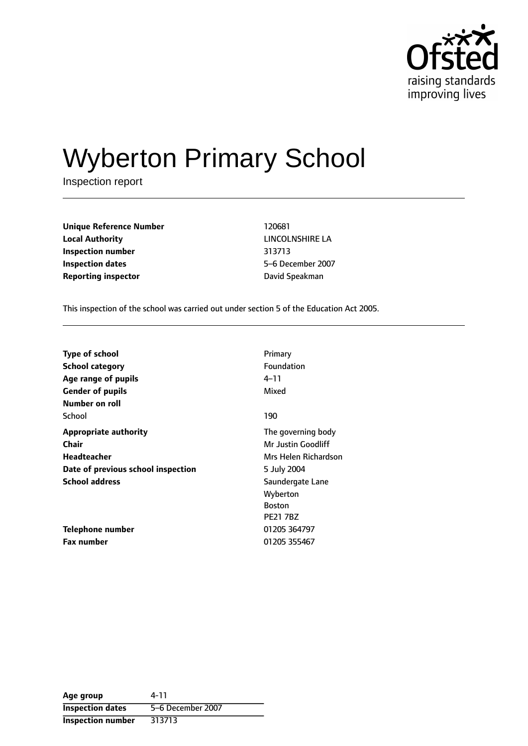

# Wyberton Primary School

Inspection report

| <b>Unique Reference Number</b> | 120681          |
|--------------------------------|-----------------|
| <b>Local Authority</b>         | LINCOLNSHIRE I  |
| Inspection number              | 313713          |
| <b>Inspection dates</b>        | 5-6 December 20 |
| <b>Reporting inspector</b>     | David Speakman  |

**LINCOLNSHIRE LA Inspection number** 313713 **Inspection dates** 56 December 2007

This inspection of the school was carried out under section 5 of the Education Act 2005.

| <b>Type of school</b>              | Primary              |
|------------------------------------|----------------------|
| <b>School category</b>             | Foundation           |
| Age range of pupils                | 4–11                 |
| <b>Gender of pupils</b>            | Mixed                |
| Number on roll                     |                      |
| School                             | 190                  |
| <b>Appropriate authority</b>       | The governing body   |
| <b>Chair</b>                       | Mr Justin Goodliff   |
| Headteacher                        | Mrs Helen Richardson |
| Date of previous school inspection | 5 July 2004          |
| <b>School address</b>              | Saundergate Lane     |
|                                    | Wyberton             |
|                                    | <b>Boston</b>        |
|                                    | <b>PE21 7BZ</b>      |
| Telephone number                   | 01205 364797         |
| <b>Fax number</b>                  | 01205 355467         |

| Age group                | 4-11              |
|--------------------------|-------------------|
| <b>Inspection dates</b>  | 5-6 December 2007 |
| <b>Inspection number</b> | 313713            |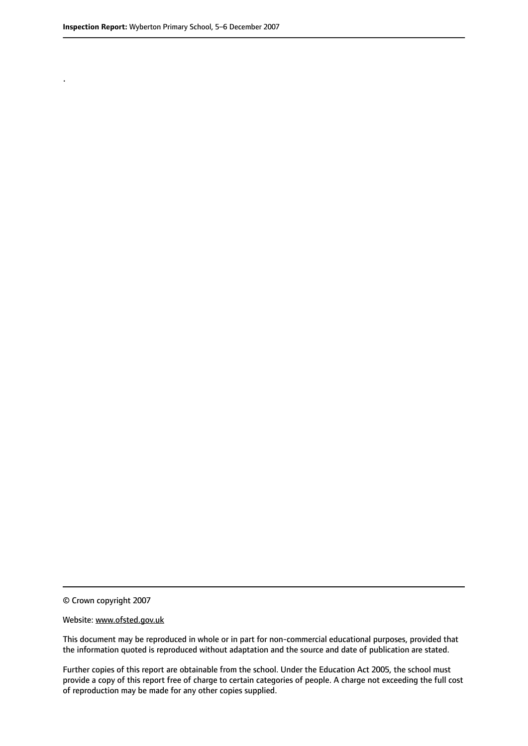.

© Crown copyright 2007

#### Website: www.ofsted.gov.uk

This document may be reproduced in whole or in part for non-commercial educational purposes, provided that the information quoted is reproduced without adaptation and the source and date of publication are stated.

Further copies of this report are obtainable from the school. Under the Education Act 2005, the school must provide a copy of this report free of charge to certain categories of people. A charge not exceeding the full cost of reproduction may be made for any other copies supplied.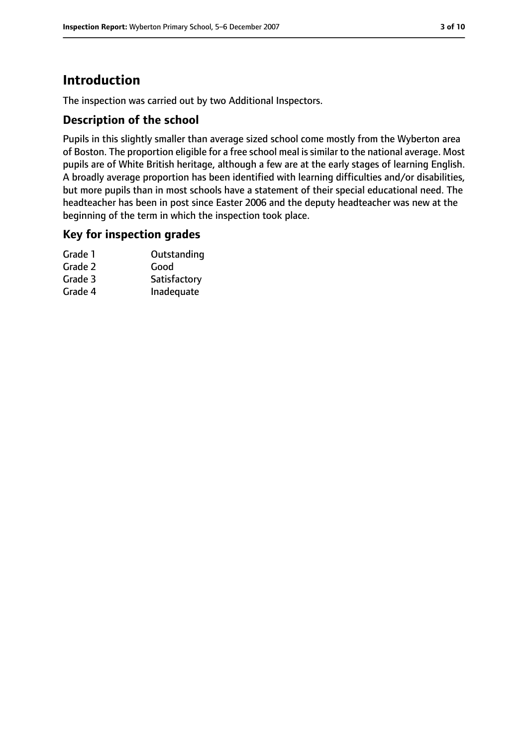# **Introduction**

The inspection was carried out by two Additional Inspectors.

## **Description of the school**

Pupils in this slightly smaller than average sized school come mostly from the Wyberton area of Boston. The proportion eligible for a free school meal is similar to the national average. Most pupils are of White British heritage, although a few are at the early stages of learning English. A broadly average proportion has been identified with learning difficulties and/or disabilities, but more pupils than in most schools have a statement of their special educational need. The headteacher has been in post since Easter 2006 and the deputy headteacher was new at the beginning of the term in which the inspection took place.

## **Key for inspection grades**

| Grade 1 | Outstanding  |
|---------|--------------|
| Grade 2 | Good         |
| Grade 3 | Satisfactory |
| Grade 4 | Inadequate   |
|         |              |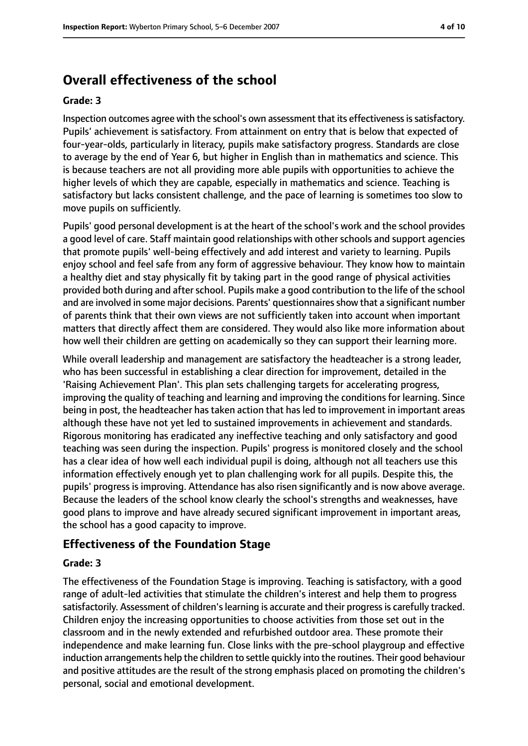# **Overall effectiveness of the school**

#### **Grade: 3**

Inspection outcomes agree with the school's own assessment that its effectiveness is satisfactory. Pupils' achievement is satisfactory. From attainment on entry that is below that expected of four-year-olds, particularly in literacy, pupils make satisfactory progress. Standards are close to average by the end of Year 6, but higher in English than in mathematics and science. This is because teachers are not all providing more able pupils with opportunities to achieve the higher levels of which they are capable, especially in mathematics and science. Teaching is satisfactory but lacks consistent challenge, and the pace of learning is sometimes too slow to move pupils on sufficiently.

Pupils' good personal development is at the heart of the school's work and the school provides a good level of care. Staff maintain good relationships with other schools and support agencies that promote pupils' well-being effectively and add interest and variety to learning. Pupils enjoy school and feel safe from any form of aggressive behaviour. They know how to maintain a healthy diet and stay physically fit by taking part in the good range of physical activities provided both during and after school. Pupils make a good contribution to the life of the school and are involved in some major decisions. Parents' questionnaires show that a significant number of parents think that their own views are not sufficiently taken into account when important matters that directly affect them are considered. They would also like more information about how well their children are getting on academically so they can support their learning more.

While overall leadership and management are satisfactory the headteacher is a strong leader, who has been successful in establishing a clear direction for improvement, detailed in the 'Raising Achievement Plan'. This plan sets challenging targets for accelerating progress, improving the quality of teaching and learning and improving the conditions for learning. Since being in post, the headteacher has taken action that has led to improvement in important areas although these have not yet led to sustained improvements in achievement and standards. Rigorous monitoring has eradicated any ineffective teaching and only satisfactory and good teaching was seen during the inspection. Pupils' progress is monitored closely and the school has a clear idea of how well each individual pupil is doing, although not all teachers use this information effectively enough yet to plan challenging work for all pupils. Despite this, the pupils' progress is improving. Attendance has also risen significantly and is now above average. Because the leaders of the school know clearly the school's strengths and weaknesses, have good plans to improve and have already secured significant improvement in important areas, the school has a good capacity to improve.

## **Effectiveness of the Foundation Stage**

#### **Grade: 3**

The effectiveness of the Foundation Stage is improving. Teaching is satisfactory, with a good range of adult-led activities that stimulate the children's interest and help them to progress satisfactorily. Assessment of children's learning is accurate and their progress is carefully tracked. Children enjoy the increasing opportunities to choose activities from those set out in the classroom and in the newly extended and refurbished outdoor area. These promote their independence and make learning fun. Close links with the pre-school playgroup and effective induction arrangements help the children to settle quickly into the routines. Their good behaviour and positive attitudes are the result of the strong emphasis placed on promoting the children's personal, social and emotional development.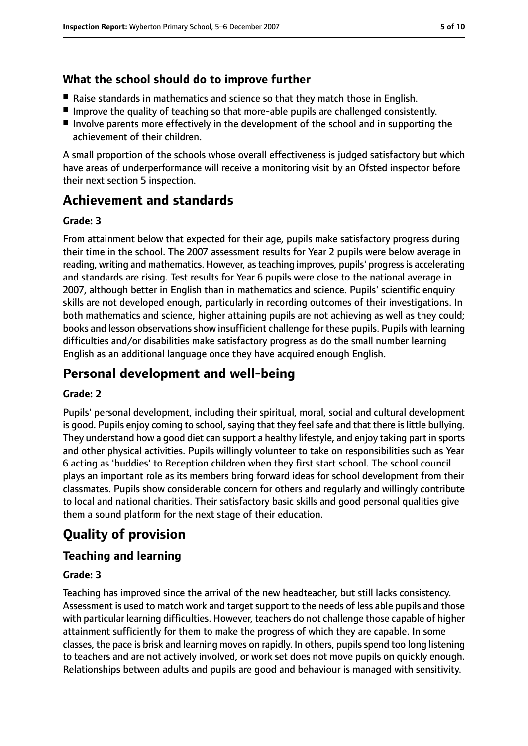# **What the school should do to improve further**

- Raise standards in mathematics and science so that they match those in English.
- Improve the quality of teaching so that more-able pupils are challenged consistently.
- Involve parents more effectively in the development of the school and in supporting the achievement of their children.

A small proportion of the schools whose overall effectiveness is judged satisfactory but which have areas of underperformance will receive a monitoring visit by an Ofsted inspector before their next section 5 inspection.

# **Achievement and standards**

## **Grade: 3**

From attainment below that expected for their age, pupils make satisfactory progress during their time in the school. The 2007 assessment results for Year 2 pupils were below average in reading, writing and mathematics. However, as teaching improves, pupils' progress is accelerating and standards are rising. Test results for Year 6 pupils were close to the national average in 2007, although better in English than in mathematics and science. Pupils' scientific enquiry skills are not developed enough, particularly in recording outcomes of their investigations. In both mathematics and science, higher attaining pupils are not achieving as well as they could; books and lesson observations show insufficient challenge for these pupils. Pupils with learning difficulties and/or disabilities make satisfactory progress as do the small number learning English as an additional language once they have acquired enough English.

# **Personal development and well-being**

## **Grade: 2**

Pupils' personal development, including their spiritual, moral, social and cultural development is good. Pupils enjoy coming to school, saying that they feel safe and that there is little bullying. They understand how a good diet can support a healthy lifestyle, and enjoy taking part in sports and other physical activities. Pupils willingly volunteer to take on responsibilities such as Year 6 acting as 'buddies' to Reception children when they first start school. The school council plays an important role as its members bring forward ideas for school development from their classmates. Pupils show considerable concern for others and regularly and willingly contribute to local and national charities. Their satisfactory basic skills and good personal qualities give them a sound platform for the next stage of their education.

# **Quality of provision**

# **Teaching and learning**

## **Grade: 3**

Teaching has improved since the arrival of the new headteacher, but still lacks consistency. Assessment is used to match work and target support to the needs of less able pupils and those with particular learning difficulties. However, teachers do not challenge those capable of higher attainment sufficiently for them to make the progress of which they are capable. In some classes, the pace is brisk and learning moves on rapidly. In others, pupils spend too long listening to teachers and are not actively involved, or work set does not move pupils on quickly enough. Relationships between adults and pupils are good and behaviour is managed with sensitivity.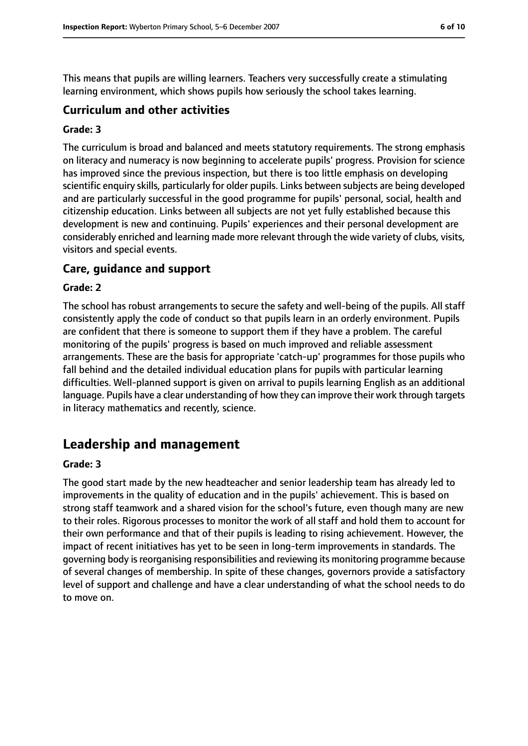This means that pupils are willing learners. Teachers very successfully create a stimulating learning environment, which shows pupils how seriously the school takes learning.

## **Curriculum and other activities**

#### **Grade: 3**

The curriculum is broad and balanced and meets statutory requirements. The strong emphasis on literacy and numeracy is now beginning to accelerate pupils' progress. Provision for science has improved since the previous inspection, but there is too little emphasis on developing scientific enquiry skills, particularly for older pupils. Links between subjects are being developed and are particularly successful in the good programme for pupils' personal, social, health and citizenship education. Links between all subjects are not yet fully established because this development is new and continuing. Pupils' experiences and their personal development are considerably enriched and learning made more relevant through the wide variety of clubs, visits, visitors and special events.

#### **Care, guidance and support**

#### **Grade: 2**

The school has robust arrangements to secure the safety and well-being of the pupils. All staff consistently apply the code of conduct so that pupils learn in an orderly environment. Pupils are confident that there is someone to support them if they have a problem. The careful monitoring of the pupils' progress is based on much improved and reliable assessment arrangements. These are the basis for appropriate 'catch-up' programmes for those pupils who fall behind and the detailed individual education plans for pupils with particular learning difficulties. Well-planned support is given on arrival to pupils learning English as an additional language. Pupils have a clear understanding of how they can improve their work through targets in literacy mathematics and recently, science.

# **Leadership and management**

#### **Grade: 3**

The good start made by the new headteacher and senior leadership team has already led to improvements in the quality of education and in the pupils' achievement. This is based on strong staff teamwork and a shared vision for the school's future, even though many are new to their roles. Rigorous processes to monitor the work of all staff and hold them to account for their own performance and that of their pupils is leading to rising achievement. However, the impact of recent initiatives has yet to be seen in long-term improvements in standards. The governing body isreorganising responsibilities and reviewing its monitoring programme because of several changes of membership. In spite of these changes, governors provide a satisfactory level of support and challenge and have a clear understanding of what the school needs to do to move on.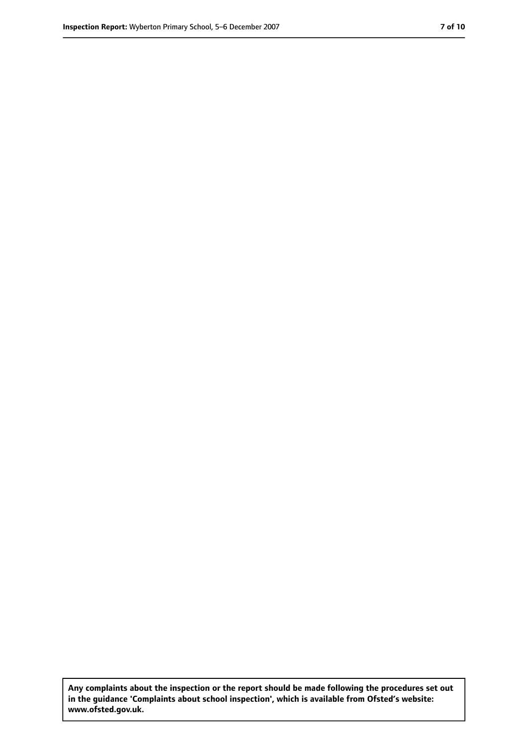**Any complaints about the inspection or the report should be made following the procedures set out in the guidance 'Complaints about school inspection', which is available from Ofsted's website: www.ofsted.gov.uk.**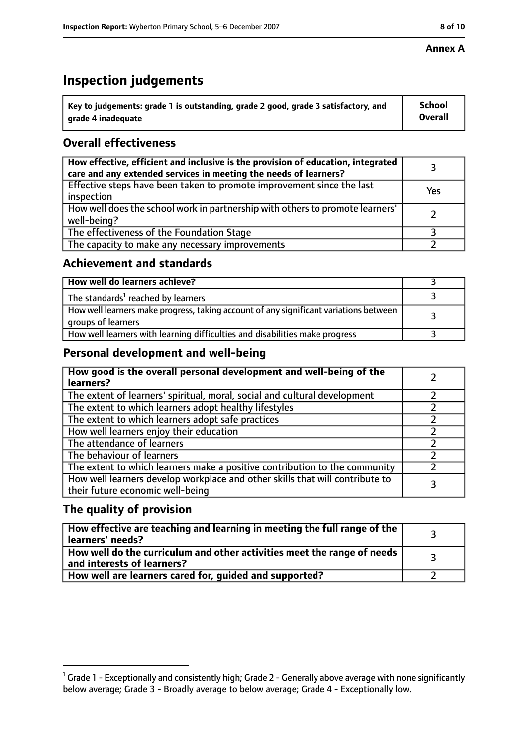#### **Annex A**

# **Inspection judgements**

| $^{\backprime}$ Key to judgements: grade 1 is outstanding, grade 2 good, grade 3 satisfactory, and | <b>School</b>  |
|----------------------------------------------------------------------------------------------------|----------------|
| arade 4 inadequate                                                                                 | <b>Overall</b> |

# **Overall effectiveness**

| How effective, efficient and inclusive is the provision of education, integrated<br>care and any extended services in meeting the needs of learners? |     |
|------------------------------------------------------------------------------------------------------------------------------------------------------|-----|
| Effective steps have been taken to promote improvement since the last<br>inspection                                                                  | Yes |
| How well does the school work in partnership with others to promote learners'<br>well-being?                                                         |     |
| The effectiveness of the Foundation Stage                                                                                                            |     |
| The capacity to make any necessary improvements                                                                                                      |     |

## **Achievement and standards**

| How well do learners achieve?                                                                               |  |
|-------------------------------------------------------------------------------------------------------------|--|
| The standards <sup>1</sup> reached by learners                                                              |  |
| How well learners make progress, taking account of any significant variations between<br>groups of learners |  |
| How well learners with learning difficulties and disabilities make progress                                 |  |

# **Personal development and well-being**

| How good is the overall personal development and well-being of the<br>learners?                                  |  |
|------------------------------------------------------------------------------------------------------------------|--|
| The extent of learners' spiritual, moral, social and cultural development                                        |  |
| The extent to which learners adopt healthy lifestyles                                                            |  |
| The extent to which learners adopt safe practices                                                                |  |
| How well learners enjoy their education                                                                          |  |
| The attendance of learners                                                                                       |  |
| The behaviour of learners                                                                                        |  |
| The extent to which learners make a positive contribution to the community                                       |  |
| How well learners develop workplace and other skills that will contribute to<br>their future economic well-being |  |

# **The quality of provision**

| How effective are teaching and learning in meeting the full range of the<br>learners' needs?          |  |
|-------------------------------------------------------------------------------------------------------|--|
| How well do the curriculum and other activities meet the range of needs<br>and interests of learners? |  |
| How well are learners cared for, guided and supported?                                                |  |

 $^1$  Grade 1 - Exceptionally and consistently high; Grade 2 - Generally above average with none significantly below average; Grade 3 - Broadly average to below average; Grade 4 - Exceptionally low.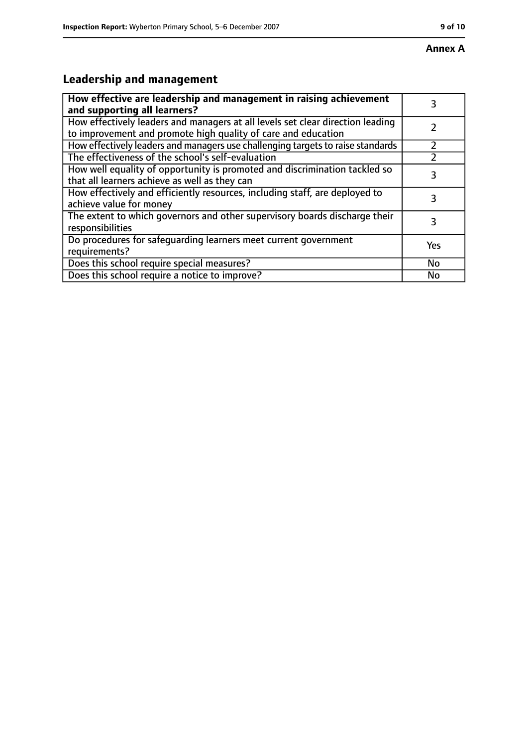#### **Annex A**

# **Leadership and management**

| How effective are leadership and management in raising achievement<br>and supporting all learners?                                              |     |
|-------------------------------------------------------------------------------------------------------------------------------------------------|-----|
| How effectively leaders and managers at all levels set clear direction leading<br>to improvement and promote high quality of care and education |     |
| How effectively leaders and managers use challenging targets to raise standards                                                                 |     |
| The effectiveness of the school's self-evaluation                                                                                               |     |
| How well equality of opportunity is promoted and discrimination tackled so<br>that all learners achieve as well as they can                     | 3   |
| How effectively and efficiently resources, including staff, are deployed to<br>achieve value for money                                          | З   |
| The extent to which governors and other supervisory boards discharge their<br>responsibilities                                                  | 3   |
| Do procedures for safequarding learners meet current government<br>requirements?                                                                | Yes |
| Does this school require special measures?                                                                                                      | No  |
| Does this school require a notice to improve?                                                                                                   | No  |